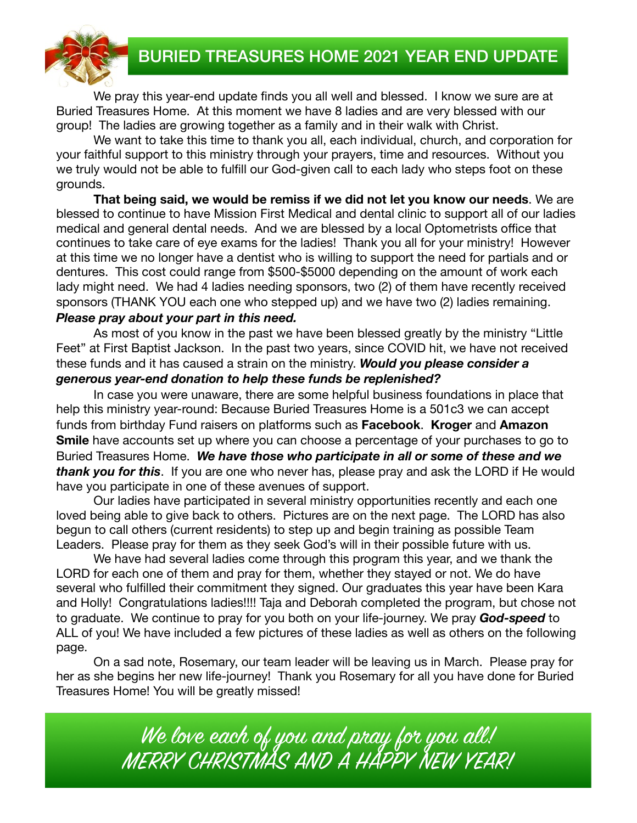BURIED TREASURES HOME 2021 YEAR END UPDATE



We pray this year-end update finds you all well and blessed. I know we sure are at Buried Treasures Home. At this moment we have 8 ladies and are very blessed with our group! The ladies are growing together as a family and in their walk with Christ.

We want to take this time to thank you all, each individual, church, and corporation for your faithful support to this ministry through your prayers, time and resources. Without you we truly would not be able to fulfill our God-given call to each lady who steps foot on these grounds.

**That being said, we would be remiss if we did not let you know our needs**. We are blessed to continue to have Mission First Medical and dental clinic to support all of our ladies medical and general dental needs. And we are blessed by a local Optometrists office that continues to take care of eye exams for the ladies! Thank you all for your ministry! However at this time we no longer have a dentist who is willing to support the need for partials and or dentures. This cost could range from \$500-\$5000 depending on the amount of work each lady might need. We had 4 ladies needing sponsors, two (2) of them have recently received sponsors (THANK YOU each one who stepped up) and we have two (2) ladies remaining. *Please pray about your part in this need.* 

As most of you know in the past we have been blessed greatly by the ministry "Little Feet" at First Baptist Jackson. In the past two years, since COVID hit, we have not received these funds and it has caused a strain on the ministry. *Would you please consider a generous year-end donation to help these funds be replenished?* 

In case you were unaware, there are some helpful business foundations in place that help this ministry year-round: Because Buried Treasures Home is a 501c3 we can accept funds from birthday Fund raisers on platforms such as **Facebook**. **Kroger** and **Amazon Smile** have accounts set up where you can choose a percentage of your purchases to go to Buried Treasures Home. *We have those who participate in all or some of these and we thank you for this*. If you are one who never has, please pray and ask the LORD if He would have you participate in one of these avenues of support.

Our ladies have participated in several ministry opportunities recently and each one loved being able to give back to others. Pictures are on the next page. The LORD has also begun to call others (current residents) to step up and begin training as possible Team Leaders. Please pray for them as they seek God's will in their possible future with us.

We have had several ladies come through this program this year, and we thank the LORD for each one of them and pray for them, whether they stayed or not. We do have several who fulfilled their commitment they signed. Our graduates this year have been Kara and Holly! Congratulations ladies!!!! Taja and Deborah completed the program, but chose not to graduate. We continue to pray for you both on your life-journey. We pray *God-speed* to ALL of you! We have included a few pictures of these ladies as well as others on the following page.

On a sad note, Rosemary, our team leader will be leaving us in March. Please pray for her as she begins her new life-journey! Thank you Rosemary for all you have done for Buried Treasures Home! You will be greatly missed!

> We love each of you and pray for you all! MERRY CHRISTMAS AND A HAPPY NEW YEAR!